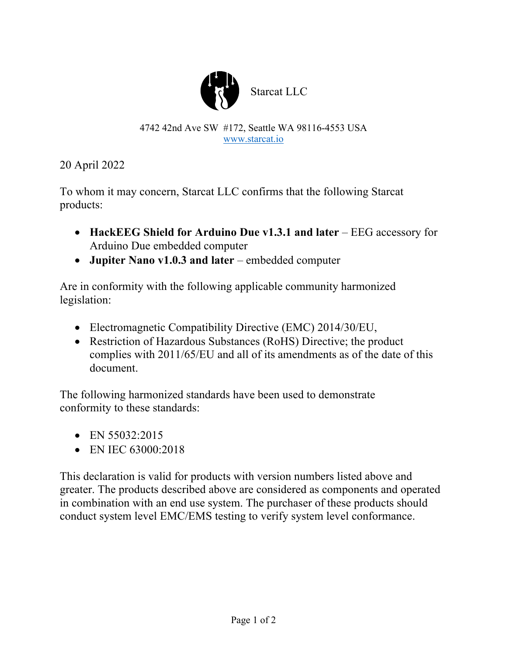

## 4742 42nd Ave SW #172, Seattle WA 98116-4553 USA www.starcat.io

20 April 2022

To whom it may concern, Starcat LLC confirms that the following Starcat products:

- **HackEEG Shield for Arduino Due v1.3.1 and later** EEG accessory for Arduino Due embedded computer
- **Jupiter Nano v1.0.3 and later** embedded computer

Are in conformity with the following applicable community harmonized legislation:

- Electromagnetic Compatibility Directive (EMC) 2014/30/EU,
- Restriction of Hazardous Substances (RoHS) Directive; the product complies with 2011/65/EU and all of its amendments as of the date of this document.

The following harmonized standards have been used to demonstrate conformity to these standards:

- EN 55032:2015
- EN IEC 63000:2018

This declaration is valid for products with version numbers listed above and greater. The products described above are considered as components and operated in combination with an end use system. The purchaser of these products should conduct system level EMC/EMS testing to verify system level conformance.